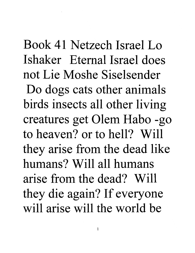Book 41 Netzech Israel Lo Ishaker Eternal Israel does not Lie Moshe Siselsender Do dogs cats other animals birds insects all other living creatures get Olem Habo -go to heaven? or to hell? Will they arise from the dead like humans? Will all humans arise from the dead? Will they die again? If everyone will arise will the world be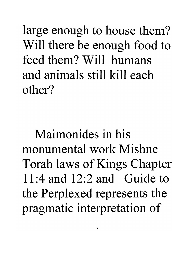large enough to house them? Will there be enough food to feed them? Will humans and animals still kill each other?

Maimonides in his monumental work Mishne Torah laws of Kings Chapter 11:4 and 12:2 and Guide to the Perplexed represents the pragmatic interpretation of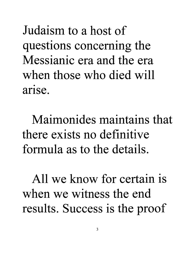Judaism to a host of questions concerning the Messianic era and the era when those who died will • arIse.

Maimonides maintains that there exists no definitive formula as to the details.

All we know for certain is when we witness the end results. Success is the proof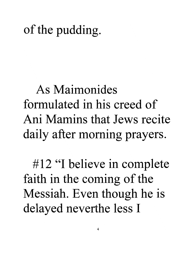## of the pudding.

## **As Maimonides formulated in his creed of Ani Mamins that Jews recite**  daily after morning prayers.

#12 "I believe in complete faith in the coming of the Messiah. Even though he is delayed neverthe less I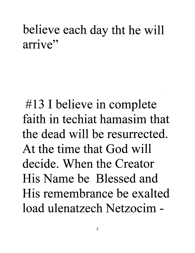## believe each day tht he will arrive"

#13 I believe in complete faith in techiat hamasim that the dead will be resurrected. At the time that God will decide. When the Creator His Name be Blessed and His remembrance be exalted load ulenatzech Netzocim -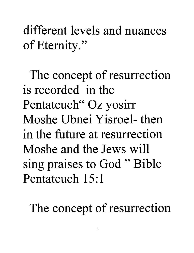**different levels and nuances**  of Etemity."

The concept of resurrection **is recorded in the**  Pentateuch" Oz yosirr **Moshe Ubnei Yisroel- then in the future at resurrection Moshe and the Jews will**  sing praises to God " Bible **Pentateuch 15: 1** 

The concept of resurrection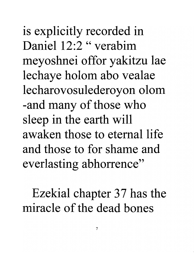is explicitly recorded in Daniel 12:2 " verabim meyoshnei offor yakitzu lae lechaye holom abo vealae lecharovosulederoyon olom -and many of those who sleep in the earth will awaken those to eternal life and those to for shame and everlasting abhorrence"

Ezekial chapter 37 has the miracle of the dead bones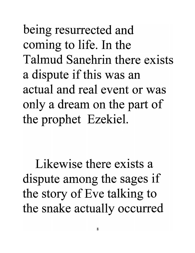being resurrected and coming to life. In the **Talmud Sanehrin there exists**  a dispute if this was an **actual and real event or was**  only a dream on the part of the prophet Ezekiel.

**Likewise there exists a**  dispute among the sages if the story of Eve talking to the snake actually occurred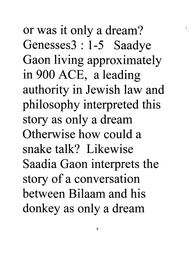or was it only a dream? Genesses3 : 1-5 Saadye Gaon living approximately in 900 ACE, a leading authority in Jewish law and philosophy interpreted this story as only a dream Otherwise how could a snake talk? Likewise Saadia Gaon interprets the story of a conversation between Bilaam and his donkey as only a dream

i ',: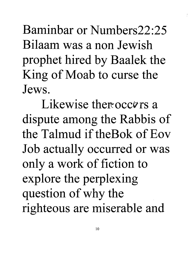Baminbar **or** Numbers22:25 Bilaam was **a non** Jewish prophet hired by Baalek the King of Moab to curse the Jews.

Likewise there occurs a dispute among the Rabbis of the Talmud if theBok of Eov Job actually occurred or was only a work of fiction to explore the perplexing question of why the righteous are miserable and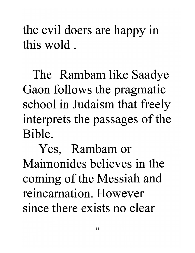the evil doers are happy in **this wold.** 

The Rambam like Saadye Gaon follows the pragmatic school in Judaism that freely interprets the passages of the **Bible.** 

Yes, Rambam or **Maimonides believes in the**  coming of the Messiah and **reincarnation. However since there exists no clear**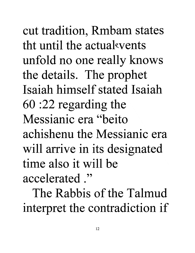cut tradition, Rmbam states tht until the actual events unfold no one really knows the details. The prophet **Isaiah himself stated Isaiah**  60 :22 regarding the **Messianic era "beito achishenu the Messianic era**  will arrive in its designated **time also it will be accelerated ."** 

**The Rabbis of the Talmud**  interpret the contradiction if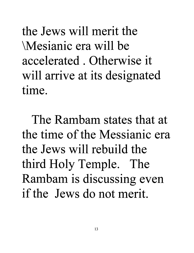the Jews will merit the \Mesianic era will be accelerated. Otherwise it will arrive at its designated time.

The Rambam states that at the time of the Messianic era the Jews will rebuild the third Holy Temple. The Rambam is discussing even if the Jews do not merit.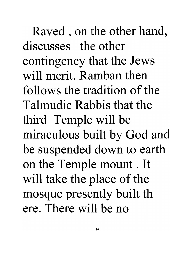Raved , on the other hand, discusses the other contingency that the Jews will merit. Ramban then follows the tradition of the Talmudic Rabbis that the third Temple will be miraculous built by God and be suspended down to earth on the Temple mount. It will take the place of the mosque presently built th ere. There will be no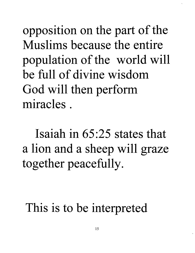opposition on the part of the **Muslims because the entire**  population of the world will **be full of divine wisdom**  God will then perform **miracles.** 

**Isaiah in** 65 :25 **states that**  a lion and a sheep will graze together peacefully.

This is to be interpreted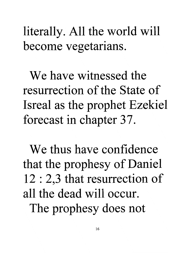literally. All the world will become vegetarians.

**We have witnessed the resurrection of the State of**  Isreal as the prophet Ezekiel forecast in chapter 37.

**We thus have confidence**  that the prophesy of Daniel 12 : 2,3 that resurrection of **all the dead will occur.**  The prophesy does not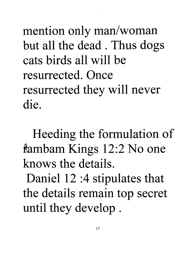mention only man/woman but all the dead . Thus dogs cats birds all will be resurrected. Once resurrected they will never die.

Heeding the formulation of iambam Kings 12:2 No one knows the details.

Daniel 12 :4 stipulates that the details remain top secret until they develop .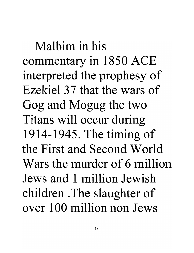**Malbim in his**  commentary in 1850 ACE interpreted the prophesy of Ezekiel 37 that the wars of Gog and Mogug the two Titans will occur during 1914-1945. The timing of **the First and Second World Wars the murder of 6 million Jews and 1 million Jewish**  children . The slaughter of **over 1 00 million non Jews**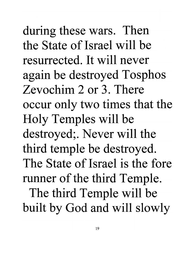during these wars. Then the State of Israel will be resurrected. It will never again be destroyed Tosphos Zevochim 2 or 3. There occur only two times that the Holy Temples will be destroyed; . Never will the third temple be destroyed. The State of Israel is the fore runner of the third Temple. The third Temple will be built by God and will slowly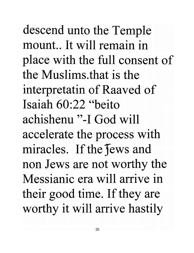descend unto the Temple mount.. It will remain in place with the full consent of **the Muslims.that is the**  interpretatin of Raaved of **Isaiah** 60:22 **"beito achishenu "-I God will**  accelerate the process with miracles. If the fews and non Jews are not worthy the **Messianic era will arrive in**  their good time. If they are worthy it will arrive hastily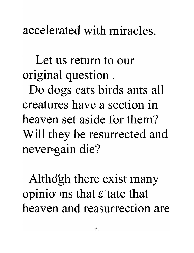**accelerated with miracles.** 

**Let us return to our**  original question .

Do dogs cats birds ants all **creatures have a section in heaven set aside for them?**  Will they be resurrected and never<sub>\*</sub>gain die?

Althd'gh there exist many opinio ins that state that **heaven and reasurrection are**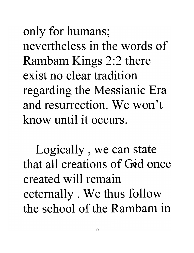only for humans; nevertheless in the words of Rambam Kings 2:2 there exist no clear tradition regarding the Messianic Era and resurrection. We won't know until it occurs.

Logically , we can state that all creations of God once created will remain eetemally . We thus follow the school of the Rambam in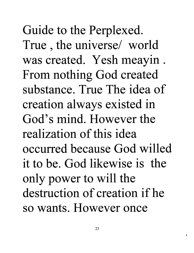Guide to the Perplexed. True , the universe/ world was created. Yesh meayin . From nothing God created **substance. True The idea of**  creation always existed in **God's mind. However the realization of this idea occurred because God willed it to be. God likewise is the**  only power to will the **destruction of creation if he so wants. However once**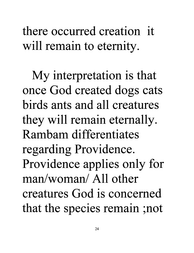**there occurred creation it**  will remain to eternity.

My interpretation is that once God created dogs cats **birds ants and all creatures**  they will remain eternally. Rambam **differentiates**  regarding Providence. Providence applies only for man/woman/ All other **creatures** God **is concerned**  that the species remain ;not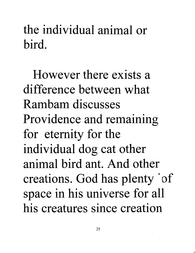## the individual animal or **bird.**

**However there exists a difference between what Rambam discusses**  Providence and remaining for eternity for the individual dog cat other **animal bird ant. And other**  creations. God has plenty of space in his universe for all **his creatures since creation**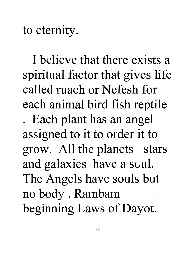to eternity.

**I believe that there exists a**  spiritual factor that gives life called mach or Nefesh for each animal bird fish reptile . Each plant has an angel assigned to it to order it to grow. All the planets stars and galaxies have a scul. The Angels have souls but no body . Rambam beginning Laws of Dayot.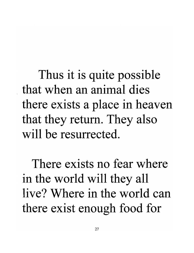Thus it is quite possible **that when an animal dies**  there exists a place in heaven that they return. They also **will be resurrected.** 

**There exists no fear where**  in the world will they all **live? Where in the world can**  there exist enough food for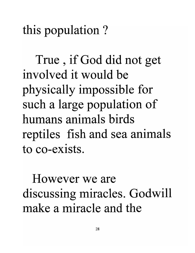this population ?

True , if God did not get involved it would be physically impossible for such a large population of humans animals birds reptiles fish and sea animals to co-exists.

However we are discussing miracles. Godwill make a miracle and the